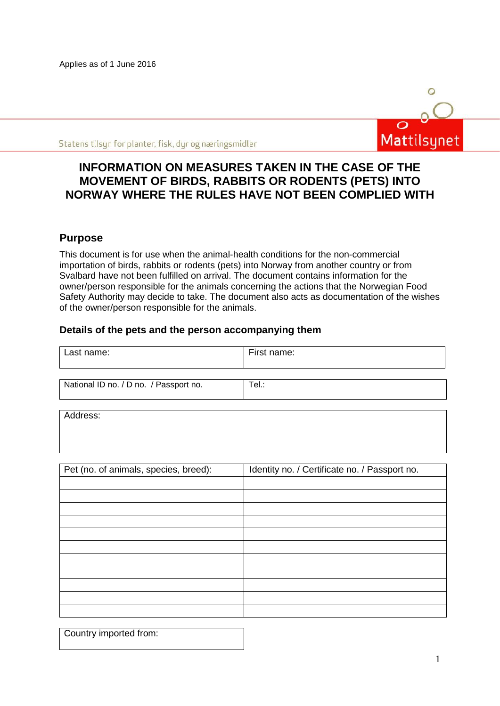Applies as of 1 June 2016



Statens tilsyn for planter, fisk, dyr og næringsmidler

# **INFORMATION ON MEASURES TAKEN IN THE CASE OF THE MOVEMENT OF BIRDS, RABBITS OR RODENTS (PETS) INTO NORWAY WHERE THE RULES HAVE NOT BEEN COMPLIED WITH**

# **Purpose**

This document is for use when the animal-health conditions for the non-commercial importation of birds, rabbits or rodents (pets) into Norway from another country or from Svalbard have not been fulfilled on arrival. The document contains information for the owner/person responsible for the animals concerning the actions that the Norwegian Food Safety Authority may decide to take. The document also acts as documentation of the wishes of the owner/person responsible for the animals.

## **Details of the pets and the person accompanying them**

| Last name:                             | First name: |
|----------------------------------------|-------------|
| National ID no. / D no. / Passport no. | Tel.:       |

Address:

| Pet (no. of animals, species, breed): | Identity no. / Certificate no. / Passport no. |
|---------------------------------------|-----------------------------------------------|
|                                       |                                               |
|                                       |                                               |
|                                       |                                               |
|                                       |                                               |
|                                       |                                               |
|                                       |                                               |
|                                       |                                               |
|                                       |                                               |
|                                       |                                               |
|                                       |                                               |
|                                       |                                               |

|  |  | Country imported from: |
|--|--|------------------------|
|--|--|------------------------|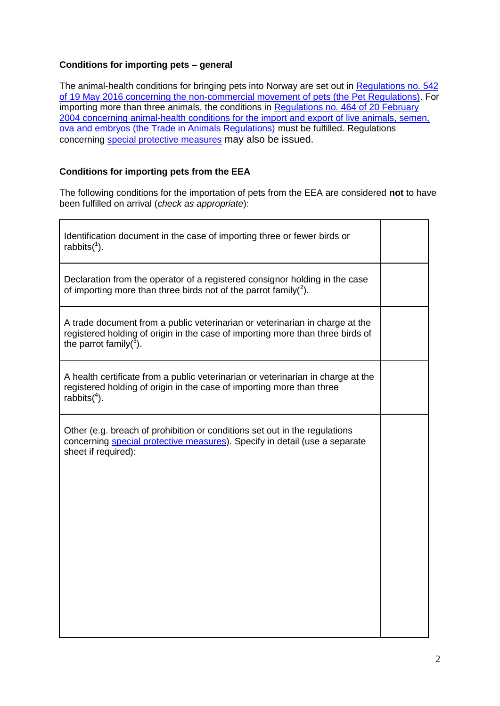## **Conditions for importing pets – general**

The animal-health conditions for bringing pets into Norway are set out in Regulations no. 542 [of 19 May 2016 concerning the non-commercial movement of pets \(the Pet Regulations\).](https://lovdata.no/dokument/LTI/forskrift/2016-05-19-542) For importing more than three animals, the conditions in [Regulations no. 464 of 20 February](https://lovdata.no/dokument/SF/forskrift/2004-02-20-464)  [2004 concerning animal-health conditions for the import and export of live animals, semen,](https://lovdata.no/dokument/SF/forskrift/2004-02-20-464)  [ova and embryos \(the Trade in Animals Regulations\)](https://lovdata.no/dokument/SF/forskrift/2004-02-20-464) must be fulfilled. Regulations concerning [special protective measures](http://www.mattilsynet.no/om_mattilsynet/gjeldende_regelverk/sarskilte_beskyttelsestiltak/) may also be issued.

## **Conditions for importing pets from the EEA**

The following conditions for the importation of pets from the EEA are considered **not** to have been fulfilled on arrival (*check as appropriate*):

| Identification document in the case of importing three or fewer birds or<br>rabbits $(^1)$ .                                                                                                |  |
|---------------------------------------------------------------------------------------------------------------------------------------------------------------------------------------------|--|
| Declaration from the operator of a registered consignor holding in the case<br>of importing more than three birds not of the parrot family( $^{2}$ ).                                       |  |
| A trade document from a public veterinarian or veterinarian in charge at the<br>registered holding of origin in the case of importing more than three birds of<br>the parrot family( $3$ ). |  |
| A health certificate from a public veterinarian or veterinarian in charge at the<br>registered holding of origin in the case of importing more than three<br>rabbits $(4)$ .                |  |
| Other (e.g. breach of prohibition or conditions set out in the regulations<br>concerning special protective measures). Specify in detail (use a separate<br>sheet if required):             |  |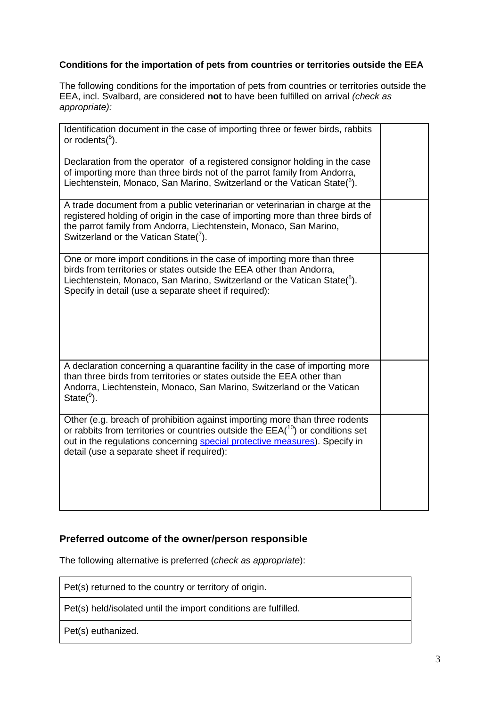# **Conditions for the importation of pets from countries or territories outside the EEA**

The following conditions for the importation of pets from countries or territories outside the EEA, incl. Svalbard, are considered **not** to have been fulfilled on arrival *(check as appropriate):*

| Identification document in the case of importing three or fewer birds, rabbits<br>or rodents $(^5)$ .                                                                                                                                                                                       |  |
|---------------------------------------------------------------------------------------------------------------------------------------------------------------------------------------------------------------------------------------------------------------------------------------------|--|
| Declaration from the operator of a registered consignor holding in the case<br>of importing more than three birds not of the parrot family from Andorra,<br>Liechtenstein, Monaco, San Marino, Switzerland or the Vatican State( $6$ ).                                                     |  |
| A trade document from a public veterinarian or veterinarian in charge at the<br>registered holding of origin in the case of importing more than three birds of<br>the parrot family from Andorra, Liechtenstein, Monaco, San Marino,<br>Switzerland or the Vatican State( $\frac{7}{1}$ ).  |  |
| One or more import conditions in the case of importing more than three<br>birds from territories or states outside the EEA other than Andorra,<br>Liechtenstein, Monaco, San Marino, Switzerland or the Vatican State( ${}^{8}$ ).<br>Specify in detail (use a separate sheet if required): |  |
| A declaration concerning a quarantine facility in the case of importing more<br>than three birds from territories or states outside the EEA other than<br>Andorra, Liechtenstein, Monaco, San Marino, Switzerland or the Vatican<br>$State(9)$ .                                            |  |
| Other (e.g. breach of prohibition against importing more than three rodents<br>or rabbits from territories or countries outside the $EEA(10)$ or conditions set<br>out in the regulations concerning special protective measures). Specify in<br>detail (use a separate sheet if required): |  |

# **Preferred outcome of the owner/person responsible**

The following alternative is preferred (*check as appropriate*):

| Pet(s) returned to the country or territory of origin.          |  |
|-----------------------------------------------------------------|--|
| Pet(s) held/isolated until the import conditions are fulfilled. |  |
| Pet(s) euthanized.                                              |  |